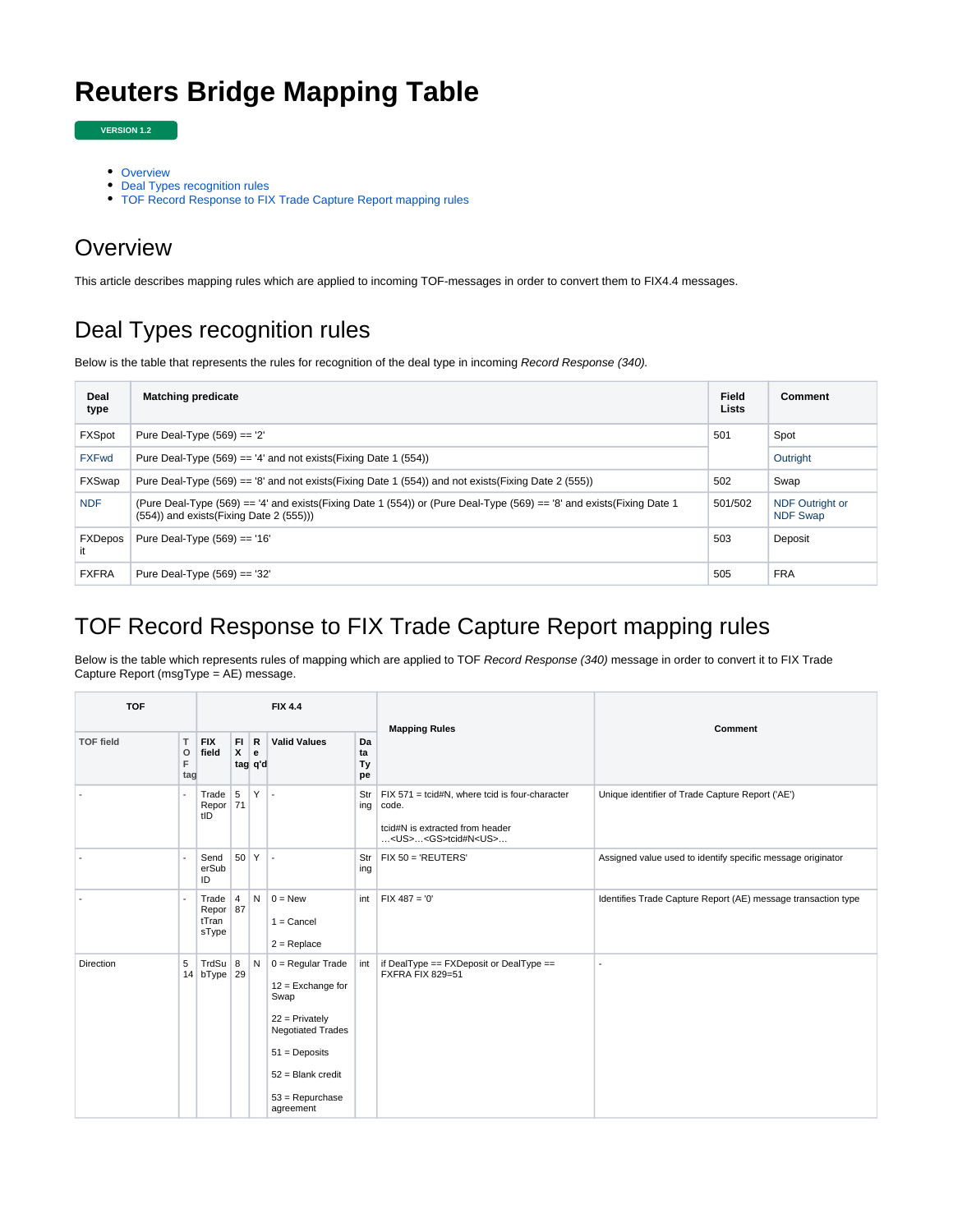## **Reuters Bridge Mapping Table**

**VERSION 1.2**

- [Overview](#page-0-0)
- [Deal Types recognition rules](#page-0-1)
- [TOF Record Response to FIX Trade Capture Report mapping rules](#page-0-2)

## <span id="page-0-0"></span>**Overview**

m.

This article describes mapping rules which are applied to incoming TOF-messages in order to convert them to FIX4.4 messages.

## <span id="page-0-1"></span>Deal Types recognition rules

 $\overline{1}$ 

Below is the table that represents the rules for recognition of the deal type in incoming Record Response (340).

| Deal<br>type   | <b>Matching predicate</b>                                                                                                                                            | Field<br>Lists | Comment                                   |
|----------------|----------------------------------------------------------------------------------------------------------------------------------------------------------------------|----------------|-------------------------------------------|
| <b>FXSpot</b>  | Pure Deal-Type $(569) == '2'$                                                                                                                                        | 501            | Spot                                      |
| <b>FXFwd</b>   | Pure Deal-Type $(569) == 4'$ and not exists (Fixing Date 1 (554))                                                                                                    |                | Outright                                  |
| FXSwap         | Pure Deal-Type (569) == '8' and not exists (Fixing Date 1 (554)) and not exists (Fixing Date 2 (555))                                                                | 502            | Swap                                      |
| <b>NDF</b>     | (Pure Deal-Type (569) == '4' and exists(Fixing Date 1 (554)) or (Pure Deal-Type (569) == '8' and exists(Fixing Date 1<br>$(554)$ ) and exists (Fixing Date 2 (555))) | 501/502        | <b>NDF Outright or</b><br><b>NDF Swap</b> |
| <b>FXDepos</b> | Pure Deal-Type $(569) == '16'$                                                                                                                                       | 503            | Deposit                                   |
| <b>FXFRA</b>   | Pure Deal-Type $(569) == 32'$                                                                                                                                        | 505            | <b>FRA</b>                                |

## <span id="page-0-2"></span>TOF Record Response to FIX Trade Capture Report mapping rules

Below is the table which represents rules of mapping which are applied to TOF Record Response (340) message in order to convert it to FIX Trade Capture Report (msgType = AE) message.

| <b>TOF</b>       |                          |                                  |                      |                | <b>FIX 4.4</b>                                                                                                                                                                        |                      |                                                                                                                                 |                                                               |  |
|------------------|--------------------------|----------------------------------|----------------------|----------------|---------------------------------------------------------------------------------------------------------------------------------------------------------------------------------------|----------------------|---------------------------------------------------------------------------------------------------------------------------------|---------------------------------------------------------------|--|
| <b>TOF field</b> | T<br>$\circ$<br>F<br>tag | <b>FIX</b><br>field              | $FI$ R<br>X          | ∣e.<br>tag q'd | <b>Valid Values</b>                                                                                                                                                                   | Da<br>ta<br>Ty<br>pe | <b>Mapping Rules</b>                                                                                                            | Comment                                                       |  |
|                  | ٠                        | Trade<br>Repor 71<br>tID         | 5                    | Y              | <b>.</b>                                                                                                                                                                              | Str<br>ing           | FIX 571 = tcid#N, where tcid is four-character<br>code.<br>tcid#N is extracted from header<br><us><gs>tcid#N<us></us></gs></us> | Unique identifier of Trade Capture Report ('AE')              |  |
|                  | ٠                        | Send<br>erSub<br>ID              | 50                   | Y              | $\sim$                                                                                                                                                                                | Str<br>ing           | FIX 50 = 'REUTERS'                                                                                                              | Assigned value used to identify specific message originator   |  |
|                  | ٠                        | Trade<br>Repor<br>tTran<br>sType | $\overline{4}$<br>87 | N              | $0 = New$<br>$1 =$ Cancel<br>$2 = Replace$                                                                                                                                            | int                  | $FIX 487 = '0'$                                                                                                                 | Identifies Trade Capture Report (AE) message transaction type |  |
| Direction        | 5                        | TrdSu<br>$14$ bType              | 8<br>29              | N              | $0 =$ Regular Trade<br>$12$ = Exchange for<br>Swap<br>$22 =$ Privately<br><b>Negotiated Trades</b><br>$51 = \text{Deposits}$<br>$52 =$ Blank credit<br>$53 =$ Repurchase<br>agreement | int                  | if DealType == FXDeposit or DealType ==<br><b>FXFRA FIX 829=51</b>                                                              | $\overline{\phantom{a}}$                                      |  |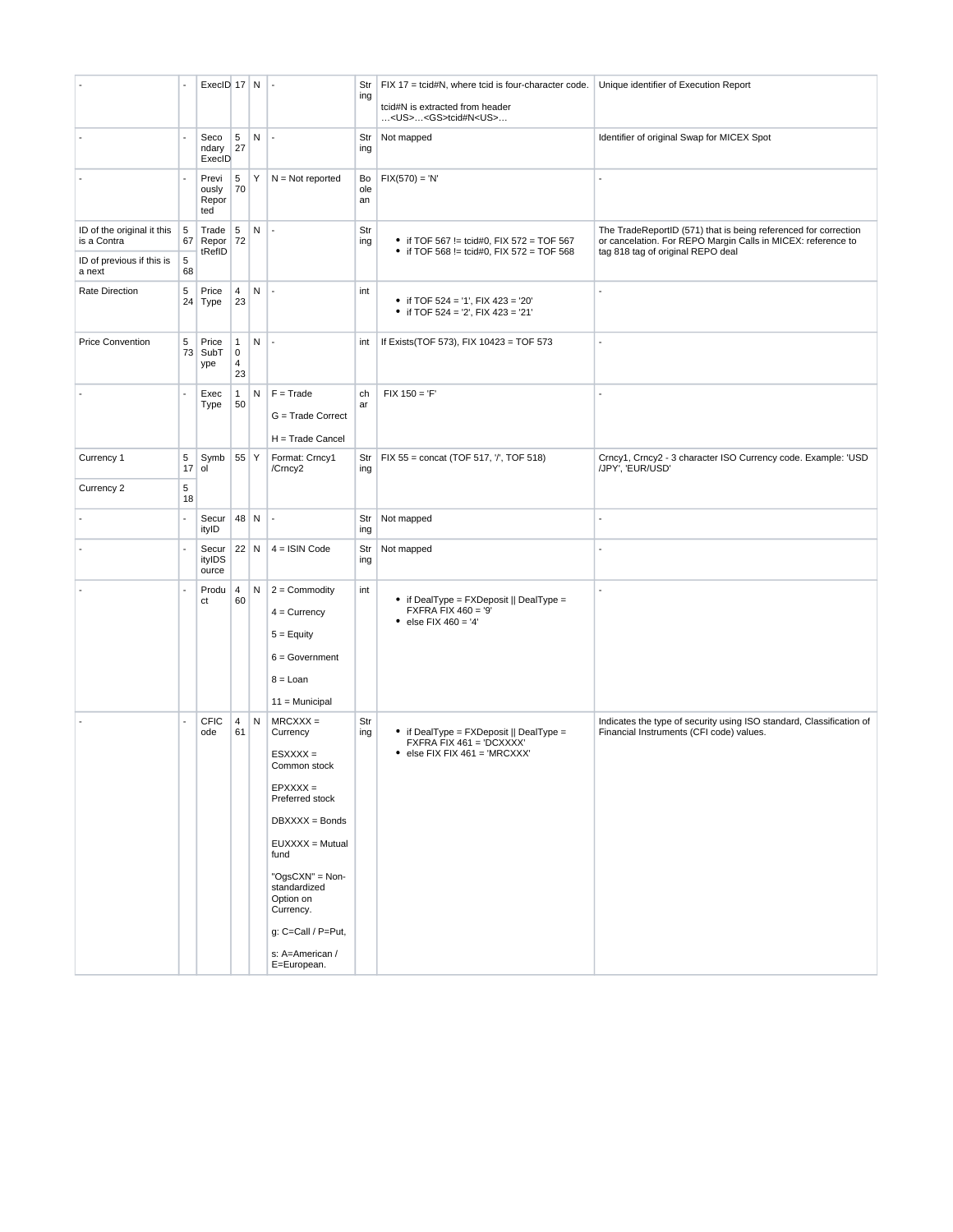|                                           |         | ExecID 17 N                    |                                        |           | $\blacksquare$                                                                                                                                                                                                                                             | Str<br>ing      | FIX 17 = tcid#N, where tcid is four-character code.<br>tcid#N is extracted from header<br><us><gs>tcid#N<us></us></gs></us> | Unique identifier of Execution Report                                                                                           |
|-------------------------------------------|---------|--------------------------------|----------------------------------------|-----------|------------------------------------------------------------------------------------------------------------------------------------------------------------------------------------------------------------------------------------------------------------|-----------------|-----------------------------------------------------------------------------------------------------------------------------|---------------------------------------------------------------------------------------------------------------------------------|
|                                           |         | Seco<br>ndary<br>ExecID        | $5\phantom{.0}$<br>27                  | N         | $\overline{\phantom{a}}$                                                                                                                                                                                                                                   | ing             | Str   Not mapped                                                                                                            | Identifier of original Swap for MICEX Spot                                                                                      |
|                                           |         | Previ<br>ously<br>Repor<br>ted | 5<br>70                                | Υ         | $N = Not$ reported                                                                                                                                                                                                                                         | Bo<br>ole<br>an | $FIX(570) = 'N'$                                                                                                            |                                                                                                                                 |
| ID of the original it this<br>is a Contra | 5<br>67 | Trade<br>Repor<br>tRefID       | 5<br>72                                | N         | $\overline{\phantom{a}}$                                                                                                                                                                                                                                   | Str<br>ing      | • if TOF 567 != tcid#0, FIX 572 = TOF 567<br>• if TOF 568 != tcid#0, FIX 572 = TOF 568                                      | The TradeReportID (571) that is being referenced for correction<br>or cancelation. For REPO Margin Calls in MICEX: reference to |
| ID of previous if this is<br>a next       | 5<br>68 |                                |                                        |           |                                                                                                                                                                                                                                                            |                 |                                                                                                                             | tag 818 tag of original REPO deal                                                                                               |
| Rate Direction                            | 5<br>24 | Price<br>Type                  | $\overline{4}$<br>23                   | N         | $\overline{a}$                                                                                                                                                                                                                                             | int             | • if TOF 524 = '1', FIX 423 = '20'<br>• if TOF 524 = '2', FIX 423 = '21'                                                    |                                                                                                                                 |
| <b>Price Convention</b>                   | 5<br>73 | Price<br>SubT<br>ype           | $\mathbf{1}$<br>$\mathbf 0$<br>4<br>23 | N         |                                                                                                                                                                                                                                                            | int             | If Exists (TOF 573), FIX 10423 = TOF 573                                                                                    | $\overline{a}$                                                                                                                  |
|                                           |         | Exec<br>Type                   | $\mathbf{1}$<br>50                     | N         | $F = Trade$<br>G = Trade Correct<br>H = Trade Cancel                                                                                                                                                                                                       | ch<br>ar        | $FIX 150 = 'F'$                                                                                                             | ÷                                                                                                                               |
| Currency 1                                | 5<br>17 | Symb<br>ol                     | $55$ Y                                 |           | Format: Crncy1<br>/Crncy2                                                                                                                                                                                                                                  | ing             | Str   FIX 55 = concat (TOF 517, '/', TOF 518)                                                                               | Crncy1, Crncy2 - 3 character ISO Currency code. Example: 'USD<br>/JPY', 'EUR/USD'                                               |
| Currency 2                                | 5<br>18 |                                |                                        |           |                                                                                                                                                                                                                                                            |                 |                                                                                                                             |                                                                                                                                 |
|                                           |         | Secur<br>ityID                 | 48 N                                   |           | $\overline{\phantom{a}}$                                                                                                                                                                                                                                   | ing             | Str   Not mapped                                                                                                            | $\overline{a}$                                                                                                                  |
|                                           |         | Secur<br>ityIDS<br>ource       | 22 N                                   |           | $4 =$ ISIN Code                                                                                                                                                                                                                                            | Str<br>ing      | Not mapped                                                                                                                  | ÷,                                                                                                                              |
|                                           |         | Produ<br>ct                    | $\overline{4}$<br>60                   | N         | $2 =$ Commodity<br>$4 =$ Currency<br>$5 =$ Equity<br>$6 = Government$<br>$8 =$ Loan<br>$11 =$ Municipal                                                                                                                                                    | int             | • if DealType = FXDeposit    DealType =<br>$FXFRA$ FIX $460 = 9'$<br>• else FIX $460 = '4'$                                 |                                                                                                                                 |
|                                           |         | <b>CFIC</b><br>ode             | $\overline{4}$<br>61                   | ${\sf N}$ | $MRCXXX =$<br>Currency<br>$ESXXX =$<br>Common stock<br>$E$ PXXXX =<br>Preferred stock<br>$DBXXX = Bonds$<br>$EUXXXX = Mutual$<br>fund<br>"OgsCXN" = Non-<br>standardized<br>Option on<br>Currency.<br>g: C=Call / P=Put,<br>s: A=American /<br>E=European. | Str<br>ing      | • if DealType = FXDeposit    DealType =<br>FXFRA FIX 461 = 'DCXXXX'<br>$\bullet$ else FIX FIX 461 = 'MRCXXX'                | Indicates the type of security using ISO standard, Classification of<br>Financial Instruments (CFI code) values.                |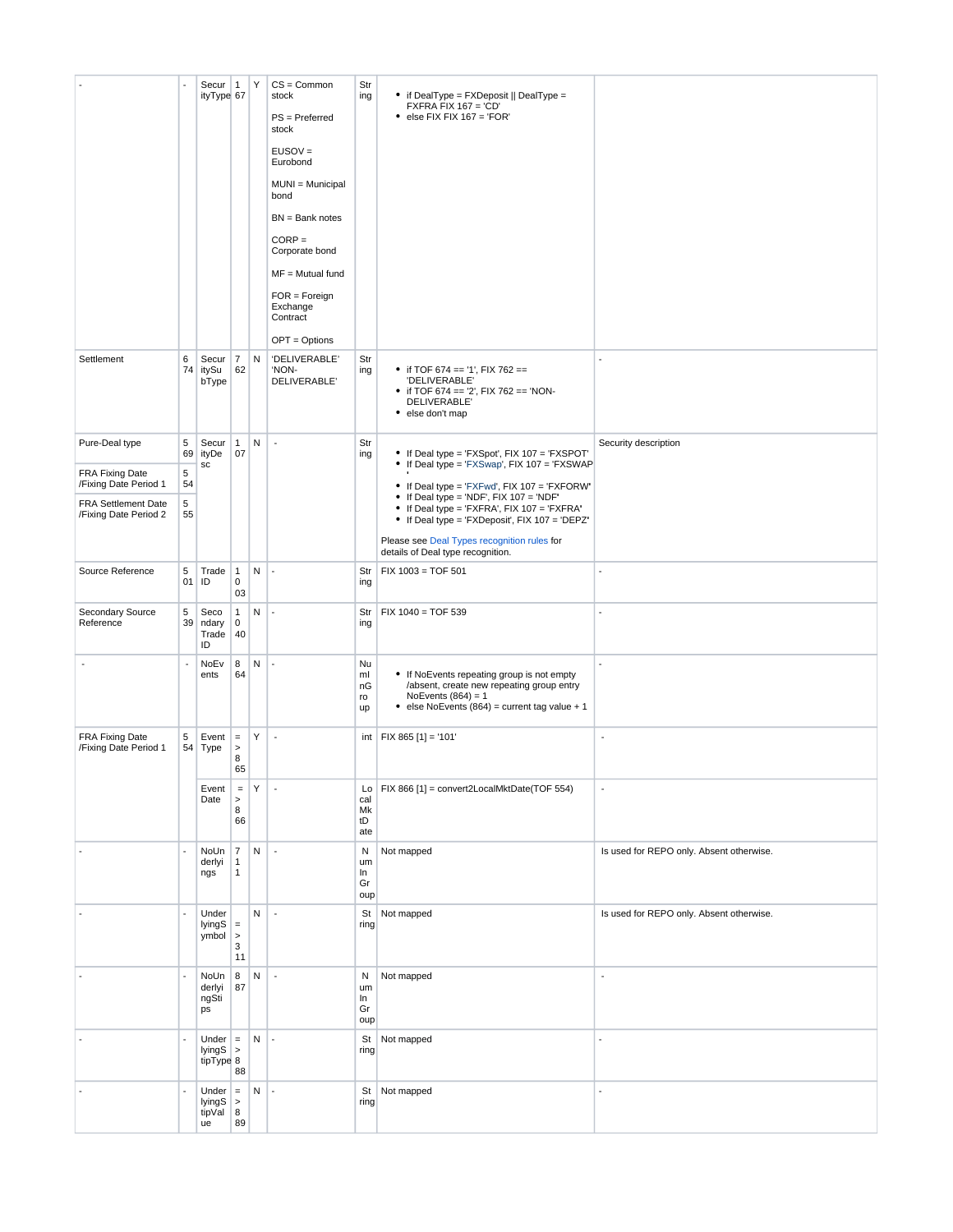|                                                     |                          | Secur   $1$<br>ityType 67            |                                                | Υ | $CS = Common$<br>stock<br>PS = Preferred<br>stock<br>$EUSOV =$<br>Eurobond<br>MUNI = Municipal<br>bond<br>BN = Bank notes<br>$CORP =$<br>Corporate bond<br>$MF = Mutual fund$<br>$FOR = Foreign$<br>Exchange<br>Contract<br>OPT = Options | Str<br>ing                   | • if DealType = FXDeposit    DealType =<br>$FXFRA$ FIX $167 = 'CD'$<br>$\bullet$ else FIX FIX 167 = 'FOR'                                                                                                                    |                                          |
|-----------------------------------------------------|--------------------------|--------------------------------------|------------------------------------------------|---|-------------------------------------------------------------------------------------------------------------------------------------------------------------------------------------------------------------------------------------------|------------------------------|------------------------------------------------------------------------------------------------------------------------------------------------------------------------------------------------------------------------------|------------------------------------------|
| Settlement                                          | 6<br>74                  | Secur<br>itySu<br>bType              | $\overline{7}$<br>62                           | N | 'DELIVERABLE'<br>'NON-<br>DELIVERABLE'                                                                                                                                                                                                    | Str<br>ing                   | • if TOF 674 == '1', FIX 762 ==<br>'DELIVERABLE'<br>• if TOF 674 == '2', FIX 762 == 'NON-<br>DELIVERABLE'<br>• else don't map                                                                                                | $\overline{a}$                           |
| Pure-Deal type                                      | 5<br>69                  | Secur<br>ityDe                       | $\mathbf{1}$<br>07                             | N | $\overline{\phantom{a}}$                                                                                                                                                                                                                  | Str<br>ing                   | • If Deal type = 'FXSpot', FIX 107 = 'FXSPOT'                                                                                                                                                                                | Security description                     |
| FRA Fixing Date<br>/Fixing Date Period 1            | 5<br>54                  | SC                                   |                                                |   |                                                                                                                                                                                                                                           |                              | • If Deal type = 'FXSwap', FIX 107 = 'FXSWAP'<br>• If Deal type = 'FXFwd', FIX 107 = 'FXFORW'                                                                                                                                |                                          |
| <b>FRA Settlement Date</b><br>/Fixing Date Period 2 | 5<br>55                  |                                      |                                                |   |                                                                                                                                                                                                                                           |                              | • If Deal type = 'NDF', FIX 107 = 'NDF'<br>• If Deal type = 'FXFRA', FIX 107 = 'FXFRA'<br>• If Deal type = 'FXDeposit', FIX 107 = 'DEPZ'<br>Please see Deal Types recognition rules for<br>details of Deal type recognition. |                                          |
| Source Reference                                    | 5<br>01                  | Trade<br>ID                          | $\mathbf{1}$<br>$\mathbf 0$<br>03              | N | $\blacksquare$                                                                                                                                                                                                                            | Str<br>ing                   | FIX 1003 = TOF 501                                                                                                                                                                                                           |                                          |
| Secondary Source<br>Reference                       | 5<br>39                  | Seco<br>ndary<br>Trade<br>ID         | $\mathbf{1}$<br>$\mathbf 0$<br>40              | N |                                                                                                                                                                                                                                           | Str<br>ing                   | FIX 1040 = TOF 539                                                                                                                                                                                                           | $\overline{a}$                           |
|                                                     | $\overline{\phantom{a}}$ | NoEv<br>ents                         | 8<br>64                                        | Ν | $\overline{a}$                                                                                                                                                                                                                            | Nu<br>ml<br>nG<br>ro<br>up   | • If NoEvents repeating group is not empty<br>/absent, create new repeating group entry<br>NoEvents $(864) = 1$<br>• else NoEvents (864) = current tag value + 1                                                             |                                          |
| FRA Fixing Date<br>/Fixing Date Period 1            | 5                        | Event<br>$54$ Type                   | $\equiv$<br>$\,$<br>8<br>65                    | Υ | $\sim$                                                                                                                                                                                                                                    |                              | int   FIX 865 [1] = '101'                                                                                                                                                                                                    | $\blacksquare$                           |
|                                                     |                          | Event<br>Date                        | $\,=\,$<br>$\,$<br>8<br>66                     | Υ | $\overline{\phantom{a}}$                                                                                                                                                                                                                  | Lo<br>cal<br>Mk<br>tD<br>ate | FIX 866 [1] = convert2LocalMktDate(TOF 554)                                                                                                                                                                                  | $\blacksquare$                           |
|                                                     | $\overline{a}$           | NoUn<br>derlyi<br>ngs                | $\overline{7}$<br>$\mathbf{1}$<br>$\mathbf{1}$ | N | $\overline{\phantom{a}}$                                                                                                                                                                                                                  | N<br>um<br>In<br>Gr<br>oup   | Not mapped                                                                                                                                                                                                                   | Is used for REPO only. Absent otherwise. |
|                                                     | $\overline{a}$           | Under<br>lyingS<br>ymbol             | $\equiv$<br>$\mathbf{r}$<br>3<br>11            | N | $\sim$                                                                                                                                                                                                                                    | St<br>ring                   | Not mapped                                                                                                                                                                                                                   | Is used for REPO only. Absent otherwise. |
|                                                     | $\overline{a}$           | NoUn<br>derlyi<br>ngSti<br>ps        | 8<br>87                                        | N | $\overline{\phantom{a}}$                                                                                                                                                                                                                  | N<br>um<br>In<br>Gr<br>oup   | Not mapped                                                                                                                                                                                                                   | $\sim$                                   |
|                                                     |                          | Under $=$<br>$lyingS$ ><br>tipType 8 | 88                                             | N | $\overline{a}$                                                                                                                                                                                                                            | St<br>ring                   | Not mapped                                                                                                                                                                                                                   | ÷.                                       |
|                                                     |                          | Under<br>lyingS<br>tipVal<br>ue      | $\equiv$<br>$\,$<br>8<br>89                    | N | $\overline{a}$                                                                                                                                                                                                                            | St<br>ring                   | Not mapped                                                                                                                                                                                                                   |                                          |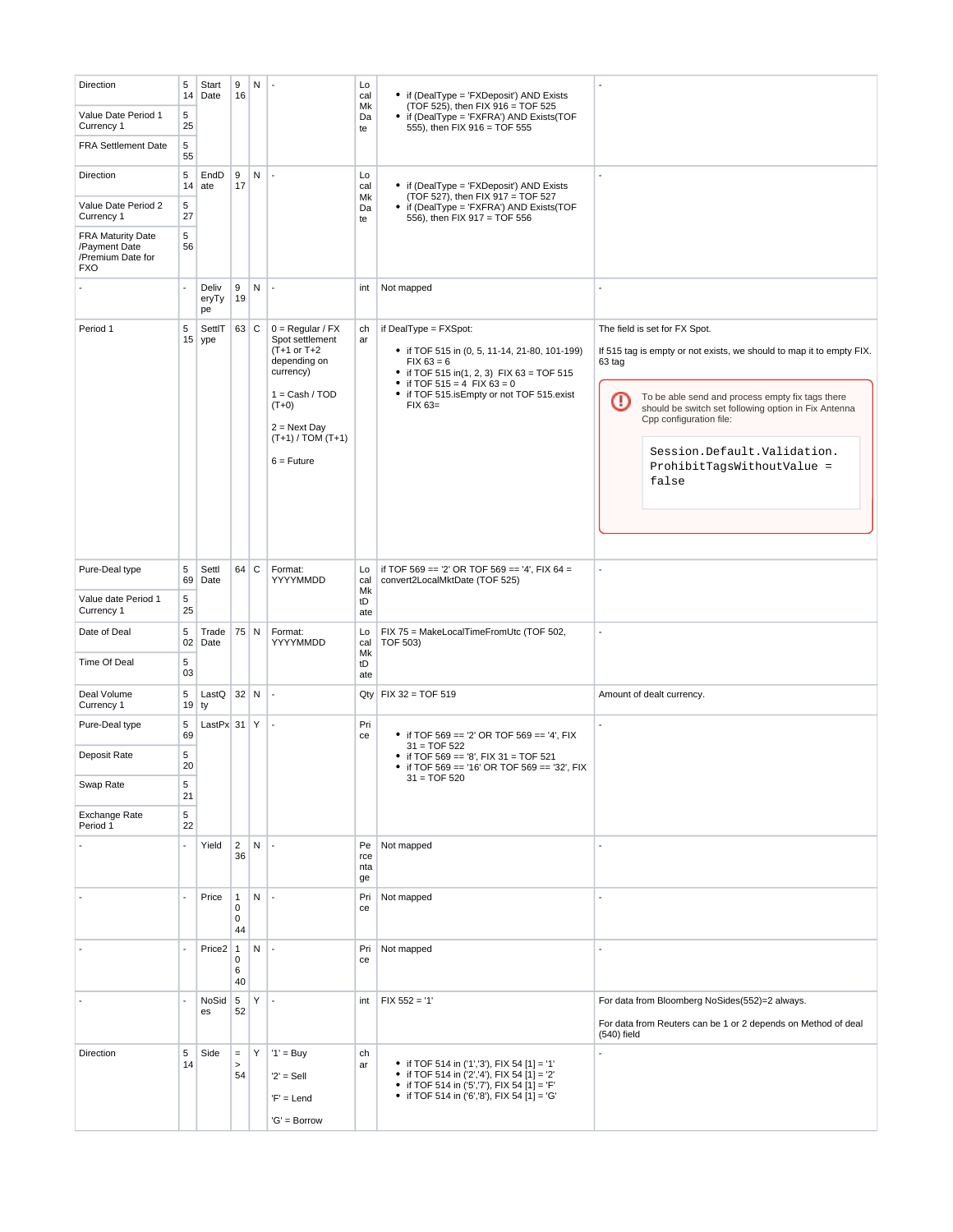| Direction                                                                    | 5<br>14            | Start<br>Date        | 9<br>16                                          | Ν  | $\overline{\phantom{a}}$                                                                                                                                                       | Lo<br>cal              | • if (DealType = 'FXDeposit') AND Exists                                                                                                                                                                                         |                                                                                                                                                                                                                                                                                                                                   |
|------------------------------------------------------------------------------|--------------------|----------------------|--------------------------------------------------|----|--------------------------------------------------------------------------------------------------------------------------------------------------------------------------------|------------------------|----------------------------------------------------------------------------------------------------------------------------------------------------------------------------------------------------------------------------------|-----------------------------------------------------------------------------------------------------------------------------------------------------------------------------------------------------------------------------------------------------------------------------------------------------------------------------------|
| Value Date Period 1<br>Currency 1                                            | 5<br>25            |                      |                                                  |    |                                                                                                                                                                                | Mk<br>Da<br>te         | (TOF 525), then FIX 916 = TOF 525<br>• if (DealType = 'FXFRA') AND Exists(TOF<br>555), then FIX 916 = TOF 555                                                                                                                    |                                                                                                                                                                                                                                                                                                                                   |
| FRA Settlement Date                                                          | 5<br>55            |                      |                                                  |    |                                                                                                                                                                                |                        |                                                                                                                                                                                                                                  |                                                                                                                                                                                                                                                                                                                                   |
| <b>Direction</b>                                                             | 5<br>14            | EndD<br>ate          | 9<br>17                                          | N  |                                                                                                                                                                                | Lo<br>cal<br>Mk        | • if (DealType = 'FXDeposit') AND Exists<br>(TOF 527), then FIX 917 = TOF 527                                                                                                                                                    |                                                                                                                                                                                                                                                                                                                                   |
| Value Date Period 2<br>Currency 1                                            | 5<br>27            |                      |                                                  |    |                                                                                                                                                                                | Da<br>te               | • if (DealType = 'FXFRA') AND Exists(TOF<br>556), then FIX 917 = TOF 556                                                                                                                                                         |                                                                                                                                                                                                                                                                                                                                   |
| <b>FRA Maturity Date</b><br>/Payment Date<br>/Premium Date for<br><b>FXO</b> | 5<br>56            |                      |                                                  |    |                                                                                                                                                                                |                        |                                                                                                                                                                                                                                  |                                                                                                                                                                                                                                                                                                                                   |
|                                                                              | $\overline{a}$     | Deliv<br>eryTy<br>pe | 9<br>19                                          | N  |                                                                                                                                                                                | int                    | Not mapped                                                                                                                                                                                                                       |                                                                                                                                                                                                                                                                                                                                   |
| Period 1                                                                     | 5                  | SettlT<br>$15$ ype   | $63$ C                                           |    | $0 = Regular / FX$<br>Spot settlement<br>$(T+1)$ or $T+2$<br>depending on<br>currency)<br>$1 = Cash / TOD$<br>$(T+0)$<br>$2 = Next$ Day<br>$(T+1) / TOM (T+1)$<br>$6 =$ Future | ch<br>ar               | if DealType = FXSpot:<br>• if TOF 515 in (0, 5, 11-14, 21-80, 101-199)<br>$FIX 63 = 6$<br>• if TOF 515 in(1, 2, 3) FIX 63 = TOF 515<br>• if TOF $515 = 4$ FIX $63 = 0$<br>• if TOF 515.isEmpty or not TOF 515.exist<br>$FIX 63=$ | The field is set for FX Spot.<br>If 515 tag is empty or not exists, we should to map it to empty FIX.<br>63 tag<br>To be able send and process empty fix tags there<br>O<br>should be switch set following option in Fix Antenna<br>Cpp configuration file:<br>Session.Default.Validation.<br>ProhibitTagsWithoutValue =<br>false |
| Pure-Deal type                                                               | 5<br>69            | Settl<br>Date        | $64$ C                                           |    | Format:<br>YYYYMMDD                                                                                                                                                            | Lo<br>cal<br>Mk        | if TOF 569 == '2' OR TOF 569 == '4', FIX 64 =<br>convert2LocalMktDate (TOF 525)                                                                                                                                                  |                                                                                                                                                                                                                                                                                                                                   |
| Value date Period 1<br>Currency 1                                            | 5<br>25            |                      |                                                  |    |                                                                                                                                                                                | tD<br>ate              |                                                                                                                                                                                                                                  |                                                                                                                                                                                                                                                                                                                                   |
| Date of Deal<br>Time Of Deal                                                 | 5<br>02<br>5<br>03 | Trade<br>Date        | 75 N                                             |    | Format:<br>YYYYMMDD                                                                                                                                                            | Lo<br>cal<br>Mk<br>tD  | FIX 75 = MakeLocalTimeFromUtc (TOF 502,<br>TOF 503)                                                                                                                                                                              |                                                                                                                                                                                                                                                                                                                                   |
| Deal Volume                                                                  | 5                  | LastQ                | 32 N                                             |    | $\sim$                                                                                                                                                                         | ate                    | $Qty$ FIX 32 = TOF 519                                                                                                                                                                                                           | Amount of dealt currency.                                                                                                                                                                                                                                                                                                         |
| Currency 1<br>Pure-Deal type                                                 | 19<br>5            | ty <br>LastPx 31 $Y$ |                                                  |    | $\overline{a}$                                                                                                                                                                 | Pri                    |                                                                                                                                                                                                                                  |                                                                                                                                                                                                                                                                                                                                   |
| Deposit Rate                                                                 | 69<br>5<br>20      |                      |                                                  |    |                                                                                                                                                                                | ce                     | • if TOF 569 == '2' OR TOF 569 == '4', FIX<br>$31 = TOF 522$<br>• if TOF 569 == '8', FIX 31 = TOF 521                                                                                                                            |                                                                                                                                                                                                                                                                                                                                   |
| Swap Rate                                                                    | 5<br>21            |                      |                                                  |    |                                                                                                                                                                                |                        | • if TOF 569 == '16' OR TOF 569 == '32', FIX<br>$31 = TOF 520$                                                                                                                                                                   |                                                                                                                                                                                                                                                                                                                                   |
| Exchange Rate<br>Period 1                                                    | 5<br>22            |                      |                                                  |    |                                                                                                                                                                                |                        |                                                                                                                                                                                                                                  |                                                                                                                                                                                                                                                                                                                                   |
|                                                                              | ÷.                 | Yield                | $\overline{2}$<br>36                             | N. | $\sim$                                                                                                                                                                         | Pe<br>rce<br>nta<br>ge | Not mapped                                                                                                                                                                                                                       | $\sim$                                                                                                                                                                                                                                                                                                                            |
|                                                                              | $\overline{a}$     | Price                | $\mathbf{1}$<br>$\mathbf 0$<br>$\mathbf 0$<br>44 | N  |                                                                                                                                                                                | Pri<br>ce              | Not mapped                                                                                                                                                                                                                       | $\overline{a}$                                                                                                                                                                                                                                                                                                                    |
|                                                                              | $\overline{a}$     | Price2 1             | 0<br>6<br>40                                     | N  |                                                                                                                                                                                | Pri<br>ce              | Not mapped                                                                                                                                                                                                                       | $\overline{a}$                                                                                                                                                                                                                                                                                                                    |
|                                                                              | ÷.                 | NoSid<br>es          | 5<br>52                                          | Υ  | $\overline{a}$                                                                                                                                                                 | int                    | $FIX 552 = '1'$                                                                                                                                                                                                                  | For data from Bloomberg NoSides(552)=2 always.<br>For data from Reuters can be 1 or 2 depends on Method of deal<br>(540) field                                                                                                                                                                                                    |
| Direction                                                                    | 5<br>14            | Side                 | $\equiv$<br>$\,$<br>54                           | Y  | $'1' = \text{Buy}$<br>$'2' =$ Sell<br>$F =$ Lend<br>'G' = Borrow                                                                                                               | ch<br>ar               | • if TOF 514 in ('1','3'), FIX 54 [1] = '1'<br>• if TOF 514 in ('2','4'), FIX 54 [1] = '2'<br>• if TOF 514 in ('5','7'), FIX 54 [1] = 'F'<br>• if TOF 514 in ('6', '8'), FIX 54 [1] = 'G'                                        |                                                                                                                                                                                                                                                                                                                                   |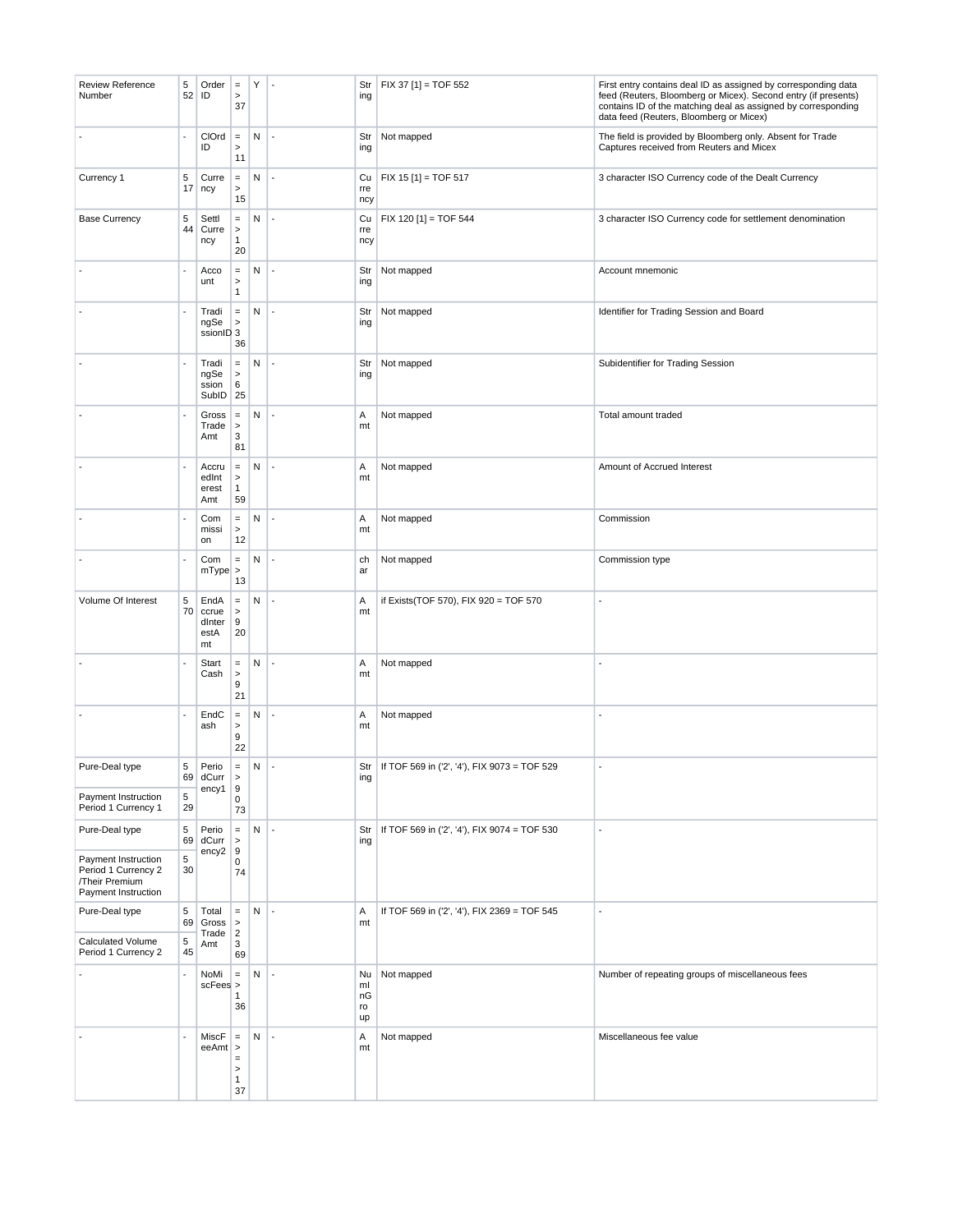| <b>Review Reference</b><br>Number                                                   | 5       | Order<br>$52$ ID                      | $\equiv$<br>$\,$<br>37                        | Υ         |                          | Str<br>ing                 | FIX 37 [1] = TOF 552                               | First entry contains deal ID as assigned by corresponding data<br>feed (Reuters, Bloomberg or Micex). Second entry (if presents)<br>contains ID of the matching deal as assigned by corresponding<br>data feed (Reuters, Bloomberg or Micex) |
|-------------------------------------------------------------------------------------|---------|---------------------------------------|-----------------------------------------------|-----------|--------------------------|----------------------------|----------------------------------------------------|----------------------------------------------------------------------------------------------------------------------------------------------------------------------------------------------------------------------------------------------|
|                                                                                     |         | ClOrd<br>ID                           | $\equiv$<br>$\geq$<br>11                      | N         | $\overline{\phantom{a}}$ | Str<br>ing                 | Not mapped                                         | The field is provided by Bloomberg only. Absent for Trade<br>Captures received from Reuters and Micex                                                                                                                                        |
| Currency 1                                                                          | 5<br>17 | Curre<br>ncy                          | $\equiv$<br>$\,$<br>15                        | N         |                          | Cu<br>rre<br>ncy           | FIX 15 [1] = TOF 517                               | 3 character ISO Currency code of the Dealt Currency                                                                                                                                                                                          |
| <b>Base Currency</b>                                                                | 5<br>44 | Settl<br>Curre<br>ncy                 | $\equiv$<br>$\,$<br>$\mathbf{1}$<br>20        | N         |                          | Cu<br>rre<br>ncy           | $FIX 120 [1] = TOF 544$                            | 3 character ISO Currency code for settlement denomination                                                                                                                                                                                    |
|                                                                                     |         | Acco<br>unt                           | $\equiv$<br>$\,$<br>$\mathbf{1}$              | N         |                          | Str<br>ing                 | Not mapped                                         | Account mnemonic                                                                                                                                                                                                                             |
|                                                                                     |         | Tradi<br>ngSe<br>ssionID <sub>3</sub> | $\equiv$<br>$\,$<br>36                        | N         |                          | Str<br>ing                 | Not mapped                                         | Identifier for Trading Session and Board                                                                                                                                                                                                     |
|                                                                                     |         | Tradi<br>ngSe<br>ssion<br>SubID       | $\equiv$<br>$\,$<br>6<br>25                   | Ν         |                          | Str<br>ing                 | Not mapped                                         | Subidentifier for Trading Session                                                                                                                                                                                                            |
|                                                                                     |         | Gross<br>Trade<br>Amt                 | $\equiv$<br>$\,$<br>3<br>81                   | N         |                          | Α<br>mt                    | Not mapped                                         | Total amount traded                                                                                                                                                                                                                          |
|                                                                                     |         | Accru<br>edInt<br>erest<br>Amt        | $\equiv$<br>$\,$<br>$\mathbf{1}$<br>59        | N         |                          | Α<br>mt                    | Not mapped                                         | Amount of Accrued Interest                                                                                                                                                                                                                   |
|                                                                                     |         | Com<br>missi<br>on                    | $=$<br>$\,$<br>12                             | N         | $\overline{\phantom{a}}$ | Α<br>mt                    | Not mapped                                         | Commission                                                                                                                                                                                                                                   |
|                                                                                     |         | Com<br>$mType$ >                      | $\equiv$<br>13                                | N         |                          | ch<br>ar                   | Not mapped                                         | Commission type                                                                                                                                                                                                                              |
| Volume Of Interest                                                                  | 5<br>70 | EndA<br>ccrue<br>dinter<br>estA<br>mt | $\equiv$<br>$\,$<br>9<br>20                   | N         |                          | Α<br>mt                    | if Exists(TOF 570), FIX 920 = TOF 570              |                                                                                                                                                                                                                                              |
|                                                                                     |         | Start<br>Cash                         | $\equiv$<br>$\,$<br>9<br>21                   | Ν         |                          | Α<br>mt                    | Not mapped                                         | $\overline{a}$                                                                                                                                                                                                                               |
|                                                                                     |         | EndC<br>ash                           | $\equiv$<br>$\,$<br>9<br>22                   | N         |                          | Α<br>mt                    | Not mapped                                         | $\overline{a}$                                                                                                                                                                                                                               |
| Pure-Deal type                                                                      | 5<br>69 | Perio<br>dCurr                        | $\equiv$<br>>                                 | N         |                          | ıng                        | Str   If TOF 569 in ('2', '4'), FIX 9073 = TOF 529 |                                                                                                                                                                                                                                              |
| Payment Instruction<br>Period 1 Currency 1                                          | 5<br>29 | ency1                                 | 9<br>$\mathbf 0$<br>73                        |           |                          |                            |                                                    |                                                                                                                                                                                                                                              |
| Pure-Deal type                                                                      | 5<br>69 | Perio<br>dCurr                        | $\equiv$<br>$\,$<br>$\mathsf g$               | ${\sf N}$ | $\overline{\phantom{a}}$ | Str<br>ing                 | If TOF 569 in ('2', '4'), FIX 9074 = TOF 530       | ÷,                                                                                                                                                                                                                                           |
| Payment Instruction<br>Period 1 Currency 2<br>/Their Premium<br>Payment Instruction | 5<br>30 | ency2                                 | $\mathbf 0$<br>74                             |           |                          |                            |                                                    |                                                                                                                                                                                                                                              |
| Pure-Deal type                                                                      | 5<br>69 | Total<br>Gross<br>Trade               | $\equiv$<br>$\,$<br>$\overline{2}$            | N         |                          | Α<br>mt                    | If TOF 569 in ('2', '4'), FIX 2369 = TOF 545       | ÷,                                                                                                                                                                                                                                           |
| Calculated Volume<br>Period 1 Currency 2                                            | 5<br>45 | Amt                                   | 3<br>69                                       |           |                          |                            |                                                    |                                                                                                                                                                                                                                              |
|                                                                                     | ÷,      | NoMi<br>$scFees$ >                    | $\equiv$<br>1<br>36                           | ${\sf N}$ |                          | Nu<br>ml<br>nG<br>ro<br>up | Not mapped                                         | Number of repeating groups of miscellaneous fees                                                                                                                                                                                             |
|                                                                                     | ÷.      | MiscF<br>$eeAmt$ >                    | $\equiv$<br>$=$<br>$\,$<br>$\mathbf{1}$<br>37 | N         |                          | Α<br>mt                    | Not mapped                                         | Miscellaneous fee value                                                                                                                                                                                                                      |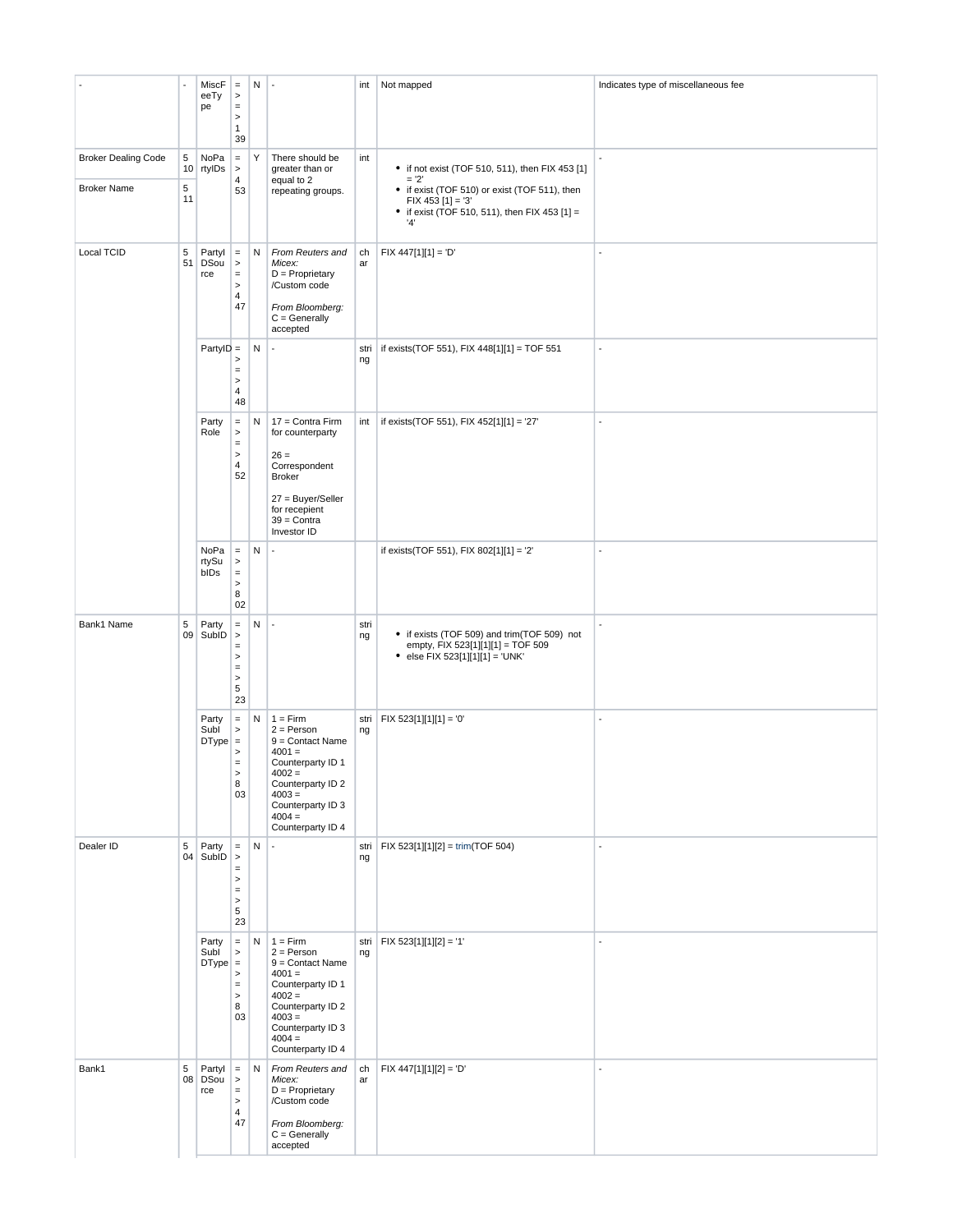|                            | $\blacksquare$ | MiscF<br>eeTy<br>pe        | $\equiv$<br>$\,$<br>$\equiv$<br>$\,$<br>$\mathbf{1}$<br>39          | Ν | ÷,                                                                                                                                                                                   | int          | Not mapped                                                                                                                               | Indicates type of miscellaneous fee |
|----------------------------|----------------|----------------------------|---------------------------------------------------------------------|---|--------------------------------------------------------------------------------------------------------------------------------------------------------------------------------------|--------------|------------------------------------------------------------------------------------------------------------------------------------------|-------------------------------------|
| <b>Broker Dealing Code</b> | 5<br>10        | NoPa<br>rtyIDs             | $\equiv$<br>$\, >$                                                  | Υ | There should be<br>greater than or                                                                                                                                                   | int          | • if not exist (TOF 510, 511), then FIX 453 [1]                                                                                          |                                     |
| <b>Broker Name</b>         | 5<br>11        |                            | 4<br>53                                                             |   | equal to 2<br>repeating groups.                                                                                                                                                      |              | $= '2'$<br>• if exist (TOF 510) or exist (TOF 511), then<br>$FIX 453 [1] = '3'$<br>• if exist (TOF 510, 511), then FIX 453 $[1] =$<br>4' |                                     |
| Local TCID                 | 5<br>51        | Partyl<br>DSou<br>rce      | $\equiv$<br>$\,$<br>$\equiv$<br>$\, >$<br>$\overline{4}$<br>47      | N | From Reuters and<br>Micex:<br>$D =$ Proprietary<br>/Custom code<br>From Bloomberg:                                                                                                   | ch<br>ar     | $FIX 447[1][1] = 'D'$                                                                                                                    |                                     |
|                            |                |                            |                                                                     |   | $C =$ Generally<br>accepted                                                                                                                                                          |              |                                                                                                                                          |                                     |
|                            |                | $PartyID =$                | ><br>$\equiv$<br>$\,$<br>4<br>48                                    | Ν |                                                                                                                                                                                      | stri  <br>ng | if exists(TOF 551), FIX 448[1][1] = TOF 551                                                                                              | $\overline{a}$                      |
|                            |                | Party<br>Role              | $\equiv$<br>$\,$<br>$\equiv$<br>$\, >$<br>4<br>52                   | Ν | 17 = Contra Firm<br>for counterparty<br>$26 =$<br>Correspondent<br>Broker<br>27 = Buyer/Seller                                                                                       | int          | if exists(TOF 551), FIX 452[1][1] = '27'                                                                                                 |                                     |
|                            |                |                            |                                                                     |   | for recepient<br>$39 =$ Contra<br>Investor ID                                                                                                                                        |              |                                                                                                                                          |                                     |
|                            |                | NoPa<br>rtySu<br>bIDs      | $\equiv$<br>$\,$<br>$\, =$<br>$\,$<br>8<br>02                       | Ν |                                                                                                                                                                                      |              | if exists(TOF 551), FIX 802[1][1] = '2'                                                                                                  |                                     |
| Bank1 Name                 | 5              | Party<br>$09$ SubID        | $\equiv$<br>$\,$<br>$\equiv$<br>$\,$<br>$\, =$<br>$\, >$<br>5<br>23 | N |                                                                                                                                                                                      | stri<br>ng   | • if exists (TOF 509) and trim(TOF 509) not<br>empty, FIX 523[1][1][1] = TOF 509<br>• else FIX 523[1][1][1] = 'UNK'                      |                                     |
|                            |                | Party<br>Subl<br>$DType$ = | $\equiv$<br>$\,$<br>><br>$\equiv$<br>8<br>03                        | Ν | $1 = Firm$<br>$2 = Person$<br>$9 =$ Contact Name<br>$4001 =$<br>Counterparty ID 1<br>$4002 =$<br>Counterparty ID 2<br>$4003 =$<br>Counterparty ID 3<br>$4004 =$<br>Counterparty ID 4 | ng           | stri   FIX 523[1][1][1] = '0'                                                                                                            |                                     |
| Dealer ID                  | 5              | Party<br>$04$ SubID        | $\equiv$<br>$\,$<br>$\equiv$<br>$\,$<br>$\equiv$<br>$\,$<br>5<br>23 | N |                                                                                                                                                                                      | stri  <br>ng | FIX 523[1][1][2] = trim(TOF 504)                                                                                                         | $\blacksquare$                      |
|                            |                | Party<br>Subl<br>$DType$ = | $\equiv$<br>$\,$<br>$\,$<br>$\equiv$<br>$\, >$<br>8<br>03           | N | $1 = Firm$<br>$2 = Person$<br>9 = Contact Name<br>$4001 =$<br>Counterparty ID 1<br>$4002 =$<br>Counterparty ID 2<br>$4003 =$<br>Counterparty ID 3<br>$4004 =$<br>Counterparty ID 4   | stri  <br>ng | FIX 523[1][1][2] = '1'                                                                                                                   | $\overline{a}$                      |
| Bank1                      | 5              | Partyl<br>08 DSou<br>rce   | $\equiv$<br>$\, >$<br>$\equiv$<br>$\,$<br>4<br>47                   | N | From Reuters and<br>Micex:<br>$D =$ Proprietary<br>/Custom code<br>From Bloomberg:<br>$C =$ Generally<br>accepted                                                                    | ch<br>ar     | $F[X 447[1][1][2] = D'$                                                                                                                  | $\blacksquare$                      |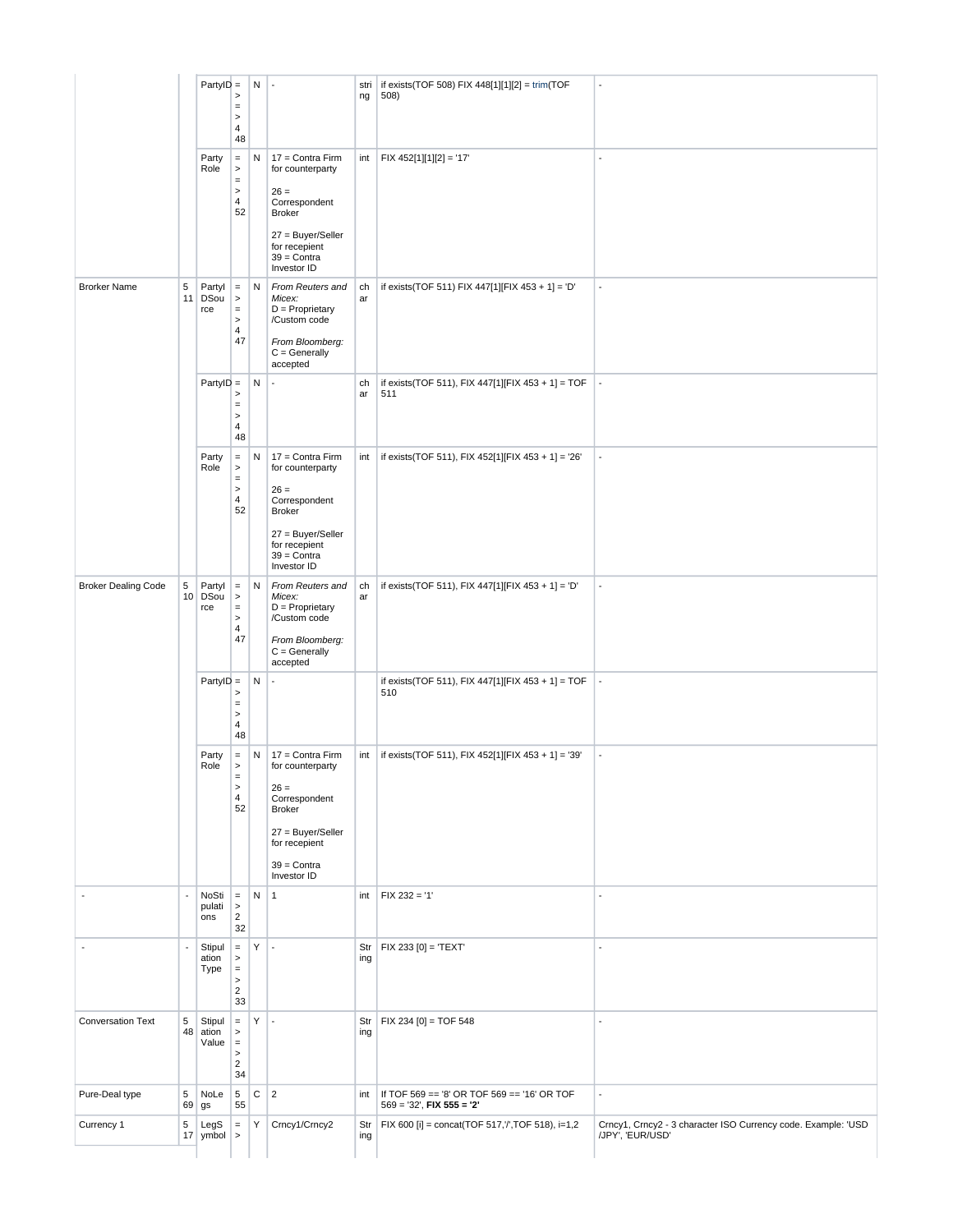|                            |                          | $PartyID =$                  | $\geq$                                        | N           | $\blacksquare$                                                     | stri  <br>ng | if exists(TOF 508) FIX 448[1][1][2] = trim(TOF<br>508)                      | $\overline{\phantom{a}}$                                                          |
|----------------------------|--------------------------|------------------------------|-----------------------------------------------|-------------|--------------------------------------------------------------------|--------------|-----------------------------------------------------------------------------|-----------------------------------------------------------------------------------|
|                            |                          |                              | $\equiv$<br>$\,$                              |             |                                                                    |              |                                                                             |                                                                                   |
|                            |                          |                              | 4<br>48                                       |             |                                                                    |              |                                                                             |                                                                                   |
|                            |                          | Party<br>Role                | $\equiv$<br>$\,$                              | N           | 17 = Contra Firm<br>for counterparty                               |              | int   FIX 452[1][1][2] = '17'                                               |                                                                                   |
|                            |                          |                              | $\quad =$<br>$\,$<br>4                        |             | $26 =$<br>Correspondent                                            |              |                                                                             |                                                                                   |
|                            |                          |                              | 52                                            |             | <b>Broker</b>                                                      |              |                                                                             |                                                                                   |
|                            |                          |                              |                                               |             | 27 = Buyer/Seller<br>for recepient                                 |              |                                                                             |                                                                                   |
|                            |                          |                              |                                               |             | $39 =$ Contra<br>Investor ID                                       |              |                                                                             |                                                                                   |
| <b>Brorker Name</b>        | 5<br>11                  | Partyl<br><b>DSou</b><br>rce | $\equiv$<br>$\,$<br>$\equiv$                  | N           | From Reuters and<br>Micex:<br>$D =$ Proprietary                    | ch<br>ar     | if exists(TOF 511) FIX 447[1][FIX 453 + 1] = 'D'                            |                                                                                   |
|                            |                          |                              | $\,$<br>4                                     |             | /Custom code                                                       |              |                                                                             |                                                                                   |
|                            |                          |                              | 47                                            |             | From Bloomberg:<br>$C =$ Generally<br>accepted                     |              |                                                                             |                                                                                   |
|                            |                          | $PartyID =$                  | $\geq$                                        | N           |                                                                    | ch<br>ar     | if exists(TOF 511), FIX 447[1][FIX 453 + 1] = TOF<br>511                    |                                                                                   |
|                            |                          |                              | $\equiv$<br>$\,$<br>4                         |             |                                                                    |              |                                                                             |                                                                                   |
|                            |                          |                              | 48                                            |             |                                                                    |              |                                                                             |                                                                                   |
|                            |                          | Party<br>Role                | $\equiv$<br>$\,$<br>$\equiv$                  | Ν           | 17 = Contra Firm<br>for counterparty                               | int          | if exists(TOF 511), FIX 452[1][FIX 453 + 1] = '26'                          |                                                                                   |
|                            |                          |                              | $\,$<br>4<br>52                               |             | $26 =$<br>Correspondent<br><b>Broker</b>                           |              |                                                                             |                                                                                   |
|                            |                          |                              |                                               |             | 27 = Buyer/Seller<br>for recepient<br>$39 =$ Contra<br>Investor ID |              |                                                                             |                                                                                   |
| <b>Broker Dealing Code</b> | 5<br>10                  | Partyl<br><b>DSou</b>        | $\equiv$<br>$\,$                              | N           | From Reuters and<br>Micex:                                         | ch<br>ar     | if exists(TOF 511), FIX 447[1][FIX 453 + 1] = 'D'                           |                                                                                   |
|                            |                          | rce                          | $\equiv$<br>$\,$<br>4                         |             | $D =$ Proprietary<br>/Custom code                                  |              |                                                                             |                                                                                   |
|                            |                          |                              | 47                                            |             | From Bloomberg:<br>$C =$ Generally<br>accepted                     |              |                                                                             |                                                                                   |
|                            |                          | $PartyID =$                  | $\geq$                                        | N           |                                                                    |              | if exists(TOF 511), FIX 447[1][FIX 453 + 1] = TOF<br>510                    |                                                                                   |
|                            |                          |                              | $\qquad \qquad =$<br>$\,$<br>4                |             |                                                                    |              |                                                                             |                                                                                   |
|                            |                          |                              | 48                                            |             |                                                                    |              |                                                                             |                                                                                   |
|                            |                          | Party<br>Role                | $\equiv$<br>$\,$<br>$\,=\,$                   | Ν           | 17 = Contra Firm<br>for counterparty                               | int          | if exists(TOF 511), FIX 452[1][FIX 453 + 1] = '39'                          |                                                                                   |
|                            |                          |                              | $\,$<br>4                                     |             | $26 =$<br>Correspondent                                            |              |                                                                             |                                                                                   |
|                            |                          |                              | 52                                            |             | <b>Broker</b><br>27 = Buyer/Seller                                 |              |                                                                             |                                                                                   |
|                            |                          |                              |                                               |             | for recepient                                                      |              |                                                                             |                                                                                   |
|                            |                          |                              |                                               |             | $39 =$ Contra<br>Investor ID                                       |              |                                                                             |                                                                                   |
|                            | $\overline{\phantom{a}}$ | NoSti<br>pulati<br>ons       | $\equiv$<br>$\genfrac{}{}{0pt}{}{>}{2}$<br>32 | N           | $\vert$ 1                                                          | int          | $FIX 232 = '1'$                                                             |                                                                                   |
|                            | $\overline{\phantom{a}}$ | Stipul                       | $\equiv$                                      | Υ           | $\overline{a}$                                                     | Str          | $FIX 233 [0] = TEXT'$                                                       | $\overline{a}$                                                                    |
|                            |                          | ation<br>Type                | $\,$<br>$\equiv$<br>$\,$                      |             |                                                                    | ing          |                                                                             |                                                                                   |
|                            |                          |                              | $\overline{2}$<br>33                          |             |                                                                    |              |                                                                             |                                                                                   |
| <b>Conversation Text</b>   | 5<br>48                  | Stipul<br>ation              | $\equiv$<br>$\,$                              | Υ           | $\overline{\phantom{a}}$                                           | Str<br>ing   | FIX 234 [0] = TOF 548                                                       | $\blacksquare$                                                                    |
|                            |                          | Value                        | $\, =$<br>$\,$<br>$\overline{2}$              |             |                                                                    |              |                                                                             |                                                                                   |
|                            |                          |                              | 34                                            |             |                                                                    |              |                                                                             |                                                                                   |
| Pure-Deal type             | 5<br>69                  | NoLe<br>gs                   | 5<br>55                                       | $\mathbf C$ | $\overline{2}$                                                     | int          | If TOF 569 == '8' OR TOF 569 == '16' OR TOF<br>$569 = 32'$ , FIX $555 = 2'$ | $\overline{a}$                                                                    |
| Currency 1                 | 5<br>17                  | LegS<br>ymbol                | $\equiv$<br>$\,$                              | Υ           | Crncy1/Crncy2                                                      | Str<br>ing   | FIX 600 [i] = concat(TOF 517, /', TOF 518), i=1,2                           | Crncy1, Crncy2 - 3 character ISO Currency code. Example: 'USD<br>/JPY', 'EUR/USD' |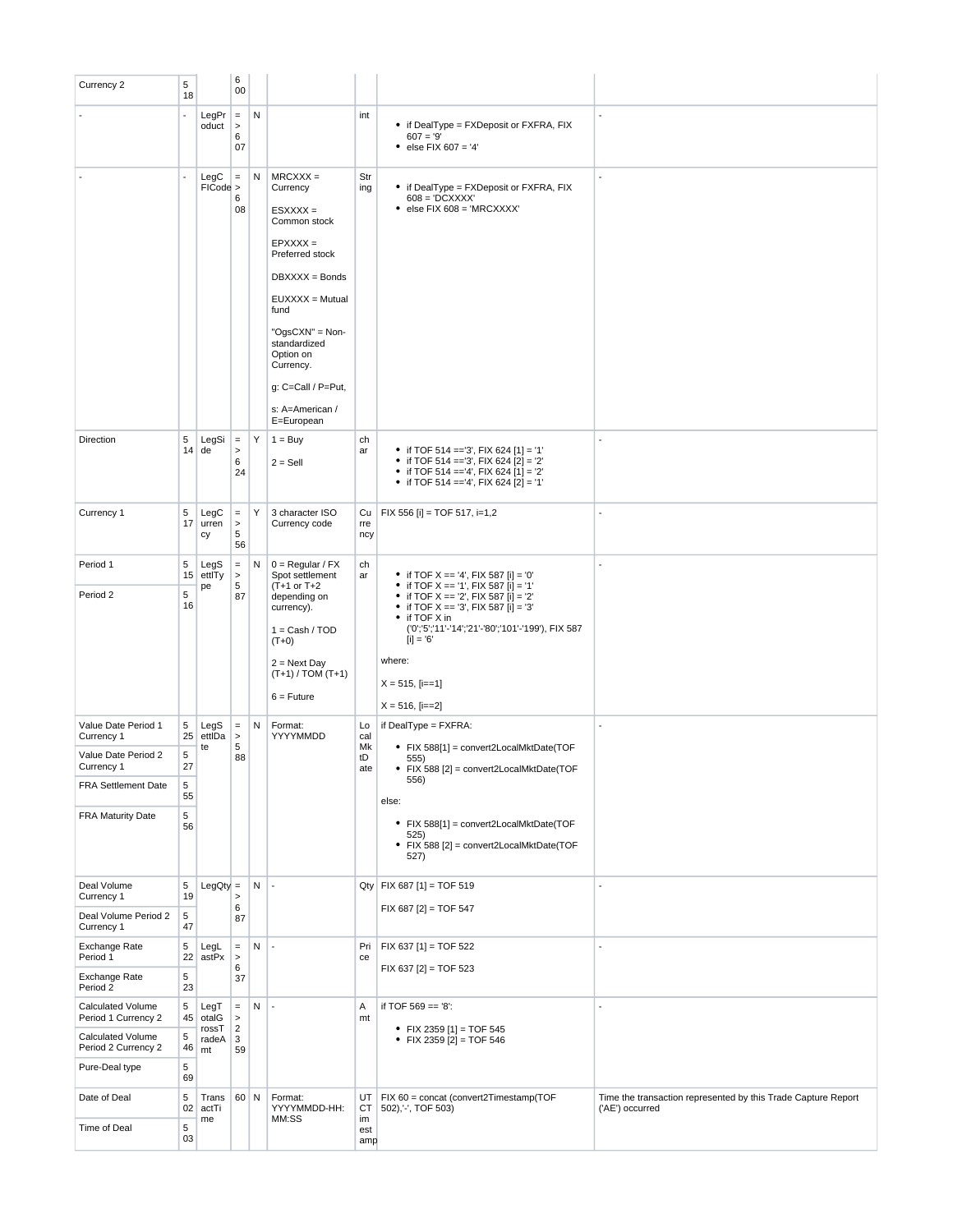| Currency 2                               | 5<br>18        |                        | 6<br>00                         |   |                                                                                                                                                                                                                                                               |                  |                                                                                                                                                                                                                                                                             |                                                                                  |
|------------------------------------------|----------------|------------------------|---------------------------------|---|---------------------------------------------------------------------------------------------------------------------------------------------------------------------------------------------------------------------------------------------------------------|------------------|-----------------------------------------------------------------------------------------------------------------------------------------------------------------------------------------------------------------------------------------------------------------------------|----------------------------------------------------------------------------------|
|                                          | $\blacksquare$ | LegPr<br>oduct         | $=$<br>$\,$<br>6<br>07          | N |                                                                                                                                                                                                                                                               | int              | • if DealType = FXDeposit or FXFRA, FIX<br>$607 = '9'$<br>• else FIX 607 = '4'                                                                                                                                                                                              |                                                                                  |
|                                          |                | LegC<br>FICode >       | $\equiv$<br>6<br>08             | N | $MRCXXX =$<br>Currency<br>$ESXXX =$<br>Common stock<br>$E$ PXXXX =<br>Preferred stock<br>DBXXXX = Bonds<br>EUXXXX = Mutual<br>fund<br>"OgsCXN" = Non-<br>standardized<br>Option on<br>Currency.<br>g: $C = Call / P = Put$ ,<br>s: A=American /<br>E=European | Str<br>ing       | • if DealType = FXDeposit or FXFRA, FIX<br>$608 = 'DCXXX'$<br>· else FIX 608 = 'MRCXXXX'                                                                                                                                                                                    |                                                                                  |
| Direction                                | 5              | LegSi<br>$14$ de       | $\equiv$<br>$\,$<br>6<br>24     | Y | $1 = \text{Buy}$<br>$2 =$ Sell                                                                                                                                                                                                                                | ch<br>ar         | • if TOF 514 =='3', FIX 624 [1] = '1'<br>• if TOF 514 =='3', FIX 624 [2] = '2'<br>• if TOF 514 =='4', FIX 624 [1] = '2'<br>• if TOF 514 =='4', FIX 624 [2] = '1'                                                                                                            |                                                                                  |
| Currency 1                               | 5<br>17        | LegC<br>urren<br>сy    | $\equiv$<br>$\,$<br>5<br>56     | Y | 3 character ISO<br>Currency code                                                                                                                                                                                                                              | Cu<br>rre<br>ncy | FIX 556 [i] = TOF 517, i=1,2                                                                                                                                                                                                                                                |                                                                                  |
| Period 1                                 | 5<br>15        | LegS<br>ettlTy         | $\equiv$<br>$\,$                | N | $0 = Regular / FX$<br>Spot settlement                                                                                                                                                                                                                         | ch<br>ar         | • if TOF X == '4', FIX 587 [i] = '0'                                                                                                                                                                                                                                        |                                                                                  |
| Period 2                                 | 5<br>16        | pe                     | 5<br>87                         |   | $(T+1)$ or $T+2$<br>depending on<br>currency).<br>$1 = Cash / TOD$<br>$(T+0)$<br>$2 = Next$ Day<br>$(T+1) / TOM (T+1)$<br>$6 =$ Future                                                                                                                        |                  | • if TOF $X = -11$ , FIX 587 [i] = '1'<br>• if TOF X == '2', FIX 587 [i] = '2'<br>• if TOF $X = 3'$ , FIX 587 [i] = '3'<br>$\bullet$ if TOF X in<br>('0';'5';'11'-'14';'21'-'80';'101'-'199'), FIX 587<br>$[i] = '6'$<br>where:<br>$X = 515$ , [i==1]<br>$X = 516$ , [i==2] |                                                                                  |
| Value Date Period 1<br>Currency 1        | 5              | LegS<br>$25$ ettlDa    | $\equiv$<br>$\,$                | N | Format:<br>YYYYMMDD                                                                                                                                                                                                                                           | Lo<br>cal        | if DealType = FXFRA:                                                                                                                                                                                                                                                        |                                                                                  |
| Value Date Period 2<br>Currency 1        | 5<br>27        | te                     | 5<br>88                         |   |                                                                                                                                                                                                                                                               | Mk<br>tD<br>ate  | • FIX 588[1] = convert2LocalMktDate(TOF<br>555)<br>• FIX 588 [2] = convert2LocalMktDate(TOF                                                                                                                                                                                 |                                                                                  |
| <b>FRA Settlement Date</b>               | 5<br>55        |                        |                                 |   |                                                                                                                                                                                                                                                               |                  | 556)<br>else:                                                                                                                                                                                                                                                               |                                                                                  |
| FRA Maturity Date                        | 5<br>56        |                        |                                 |   |                                                                                                                                                                                                                                                               |                  | • FIX 588[1] = convert2LocalMktDate(TOF<br>525)<br>• FIX 588 [2] = convert2LocalMktDate(TOF<br>527)                                                                                                                                                                         |                                                                                  |
| Deal Volume<br>Currency 1                | 5<br>19        | $LegQty =$             |                                 | N |                                                                                                                                                                                                                                                               |                  | $Qty$ FIX 687 [1] = TOF 519                                                                                                                                                                                                                                                 |                                                                                  |
| Deal Volume Period 2<br>Currency 1       | 5<br>47        |                        | 6<br>87                         |   |                                                                                                                                                                                                                                                               |                  | $FIX 687 [2] = TOF 547$                                                                                                                                                                                                                                                     |                                                                                  |
| <b>Exchange Rate</b><br>Period 1         | 5<br>22        | LegL<br>astPx          | $\equiv$<br>$\mathbf{L}$        | N |                                                                                                                                                                                                                                                               | Pri<br>ce        | FIX 637 [1] = TOF 522                                                                                                                                                                                                                                                       | $\overline{a}$                                                                   |
| Exchange Rate<br>Period 2                | 5<br>23        |                        | 6<br>37                         |   |                                                                                                                                                                                                                                                               |                  | FIX 637 [2] = TOF 523                                                                                                                                                                                                                                                       |                                                                                  |
| Calculated Volume<br>Period 1 Currency 2 | 5<br>45        | LegT<br>otalG<br>rossT | $\equiv$<br>$\,$<br>$\mathbf 2$ | Ν |                                                                                                                                                                                                                                                               | Α<br>mt          | if TOF $569 == 8$ :                                                                                                                                                                                                                                                         |                                                                                  |
| Calculated Volume<br>Period 2 Currency 2 | 5<br>46        | radeA<br>mt            | 3<br>59                         |   |                                                                                                                                                                                                                                                               |                  | • FIX 2359 [1] = TOF 545<br>• FIX 2359 [2] = TOF 546                                                                                                                                                                                                                        |                                                                                  |
| Pure-Deal type                           | 5<br>69        |                        |                                 |   |                                                                                                                                                                                                                                                               |                  |                                                                                                                                                                                                                                                                             |                                                                                  |
| Date of Deal                             | 5<br>02        | Trans<br>actTi<br>me   | $60$ N                          |   | Format:<br>YYYYMMDD-HH:<br>MM:SS                                                                                                                                                                                                                              | UT<br>CT<br>im   | FIX 60 = concat (convert2Timestamp(TOF<br>502), '-', TOF 503)                                                                                                                                                                                                               | Time the transaction represented by this Trade Capture Report<br>('AE') occurred |
| Time of Deal                             | 5<br>03        |                        |                                 |   |                                                                                                                                                                                                                                                               | est<br>amp       |                                                                                                                                                                                                                                                                             |                                                                                  |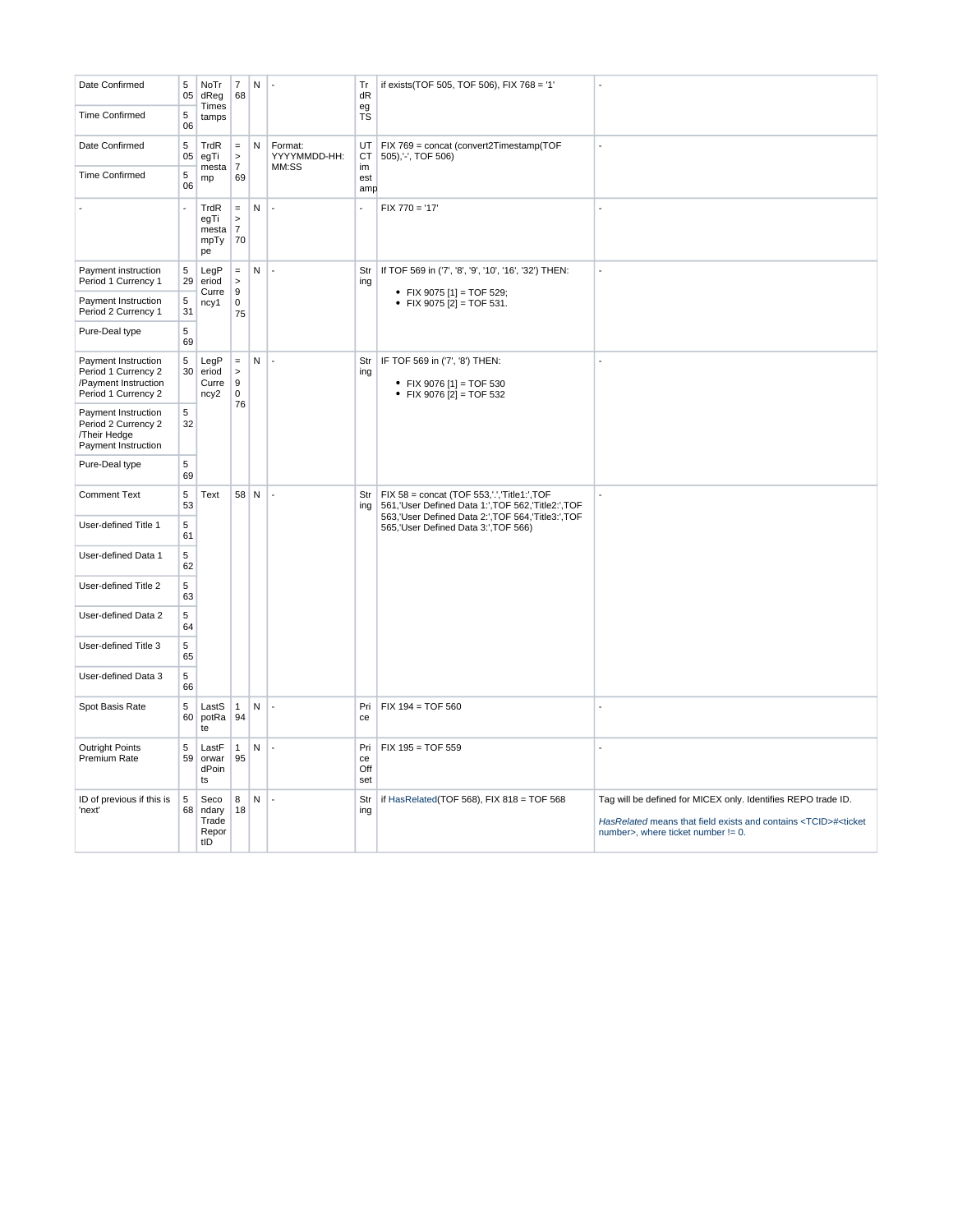| Date Confirmed                                                                            | 5<br>05        | NoTr<br>dReg<br>Times                  | $\overline{7}$<br>68                     | N |                                  | Tr<br>dR                | if exists (TOF 505, TOF 506), FIX 768 = '1'                                                                                                                |                                                                                                                                                                                             |
|-------------------------------------------------------------------------------------------|----------------|----------------------------------------|------------------------------------------|---|----------------------------------|-------------------------|------------------------------------------------------------------------------------------------------------------------------------------------------------|---------------------------------------------------------------------------------------------------------------------------------------------------------------------------------------------|
| <b>Time Confirmed</b>                                                                     | 5<br>06        | tamps                                  |                                          |   |                                  | ${\sf eg}$<br><b>TS</b> |                                                                                                                                                            |                                                                                                                                                                                             |
| Date Confirmed                                                                            | 5<br>05        | TrdR<br>egTi<br>mesta                  | $\equiv$<br>$\,$<br>$\overline{7}$       | N | Format:<br>YYYYMMDD-HH:<br>MM:SS | UT<br>CT<br>im          | FIX 769 = concat (convert2Timestamp(TOF<br>505), '-', TOF 506)                                                                                             |                                                                                                                                                                                             |
| <b>Time Confirmed</b>                                                                     | 5<br>06        | mp                                     | 69                                       |   |                                  | est<br>amp              |                                                                                                                                                            |                                                                                                                                                                                             |
|                                                                                           | $\blacksquare$ | TrdR<br>egTi<br>mesta<br>mpTy<br>pe    | $\equiv$<br>$\,$<br>$\overline{7}$<br>70 | N |                                  |                         | $FIX 770 = '17'$                                                                                                                                           | $\overline{a}$                                                                                                                                                                              |
| Payment instruction<br>Period 1 Currency 1                                                | 5<br>29        | LegP<br>eriod                          | $\equiv$<br>$\,$                         | N |                                  | Str<br>ing              | If TOF 569 in ('7', '8', '9', '10', '16', '32') THEN:                                                                                                      |                                                                                                                                                                                             |
| Payment Instruction<br>Period 2 Currency 1                                                | 5<br>31        | Curre<br>ncy1                          | 9<br>$\mathsf 0$<br>75                   |   |                                  |                         | • FIX 9075 [1] = TOF 529;<br>• FIX 9075 [2] = TOF 531.                                                                                                     |                                                                                                                                                                                             |
| Pure-Deal type                                                                            | 5<br>69        |                                        |                                          |   |                                  |                         |                                                                                                                                                            |                                                                                                                                                                                             |
| Payment Instruction<br>Period 1 Currency 2<br>/Payment Instruction<br>Period 1 Currency 2 | 5<br>30        | LegP<br>eriod<br>Curre<br>ncy2         | $\equiv$<br>$\,$<br>9<br>$\mathbf 0$     | N |                                  | Str<br>ing              | IF TOF 569 in ('7', '8') THEN:<br>• FIX 9076 [1] = TOF 530<br>• FIX 9076 [2] = TOF 532                                                                     |                                                                                                                                                                                             |
| Payment Instruction<br>Period 2 Currency 2<br>/Their Hedge<br>Payment Instruction         | 5<br>32        |                                        | 76                                       |   |                                  |                         |                                                                                                                                                            |                                                                                                                                                                                             |
| Pure-Deal type                                                                            | 5<br>69        |                                        |                                          |   |                                  |                         |                                                                                                                                                            |                                                                                                                                                                                             |
| <b>Comment Text</b>                                                                       | 5<br>53        | Text                                   | 58 N                                     |   |                                  | Str<br>ing              | FIX 58 = concat (TOF 553,'.','Title1:',TOF<br>561, 'User Defined Data 1:', TOF 562, 'Title2:', TOF<br>563, 'User Defined Data 2:', TOF 564, 'Title3:', TOF |                                                                                                                                                                                             |
| User-defined Title 1                                                                      | 5<br>61        |                                        |                                          |   |                                  |                         | 565, 'User Defined Data 3:', TOF 566)                                                                                                                      |                                                                                                                                                                                             |
| User-defined Data 1                                                                       | 5<br>62        |                                        |                                          |   |                                  |                         |                                                                                                                                                            |                                                                                                                                                                                             |
| User-defined Title 2                                                                      | 5<br>63        |                                        |                                          |   |                                  |                         |                                                                                                                                                            |                                                                                                                                                                                             |
| User-defined Data 2                                                                       | 5<br>64        |                                        |                                          |   |                                  |                         |                                                                                                                                                            |                                                                                                                                                                                             |
| User-defined Title 3                                                                      | 5<br>65        |                                        |                                          |   |                                  |                         |                                                                                                                                                            |                                                                                                                                                                                             |
| User-defined Data 3                                                                       | 5<br>66        |                                        |                                          |   |                                  |                         |                                                                                                                                                            |                                                                                                                                                                                             |
| Spot Basis Rate                                                                           | 5<br>60        | LastS<br>potRa<br>te                   | $\mathbf{1}$<br>94                       | N |                                  | Pri<br>ce               | FIX 194 = TOF 560                                                                                                                                          |                                                                                                                                                                                             |
| Outright Points<br>Premium Rate                                                           | 5<br>59        | LastF<br>orwar<br>dPoin<br>ts          | $\mathbf{1}$<br>95                       | N |                                  | Pri<br>ce<br>Off<br>set | FIX 195 = TOF 559                                                                                                                                          |                                                                                                                                                                                             |
| ID of previous if this is<br>'next'                                                       | 5<br>68        | Seco<br>ndary<br>Trade<br>Repor<br>tID | 8<br>18                                  | N |                                  | Str<br>ing              | if HasRelated(TOF 568), FIX 818 = TOF 568                                                                                                                  | Tag will be defined for MICEX only. Identifies REPO trade ID.<br>HasRelated means that field exists and contains <tcid>#<ticket<br>number&gt;, where ticket number != 0.</ticket<br></tcid> |